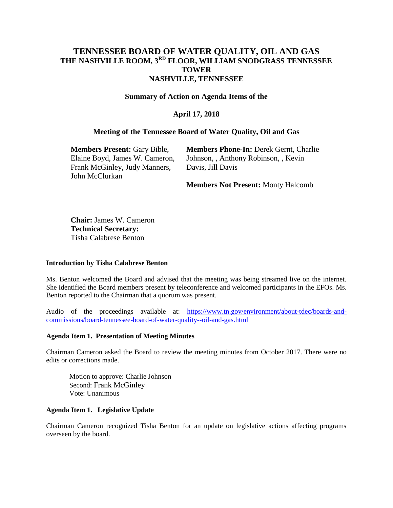# **TENNESSEE BOARD OF WATER QUALITY, OIL AND GAS THE NASHVILLE ROOM, 3RD FLOOR, WILLIAM SNODGRASS TENNESSEE TOWER NASHVILLE, TENNESSEE**

#### **Summary of Action on Agenda Items of the**

## **April 17, 2018**

#### **Meeting of the Tennessee Board of Water Quality, Oil and Gas**

**Members Present:** Gary Bible, Elaine Boyd, James W. Cameron, Frank McGinley, Judy Manners, John McClurkan

**Members Phone-In:** Derek Gernt, Charlie Johnson, , Anthony Robinson, , Kevin Davis, Jill Davis

**Members Not Present:** Monty Halcomb

**Chair:** James W. Cameron **Technical Secretary:**  Tisha Calabrese Benton

#### **Introduction by Tisha Calabrese Benton**

Ms. Benton welcomed the Board and advised that the meeting was being streamed live on the internet. She identified the Board members present by teleconference and welcomed participants in the EFOs. Ms. Benton reported to the Chairman that a quorum was present.

Audio of the proceedings available at: [https://www.tn.gov/environment/about-tdec/boards-and](https://www.tn.gov/environment/about-tdec/boards-and-commissions/board-tennessee-board-of-water-quality--oil-and-gas.html)[commissions/board-tennessee-board-of-water-quality--oil-and-gas.html](https://www.tn.gov/environment/about-tdec/boards-and-commissions/board-tennessee-board-of-water-quality--oil-and-gas.html)

#### **Agenda Item 1. Presentation of Meeting Minutes**

Chairman Cameron asked the Board to review the meeting minutes from October 2017. There were no edits or corrections made.

Motion to approve: Charlie Johnson Second: Frank McGinley Vote: Unanimous

#### **Agenda Item 1. Legislative Update**

Chairman Cameron recognized Tisha Benton for an update on legislative actions affecting programs overseen by the board.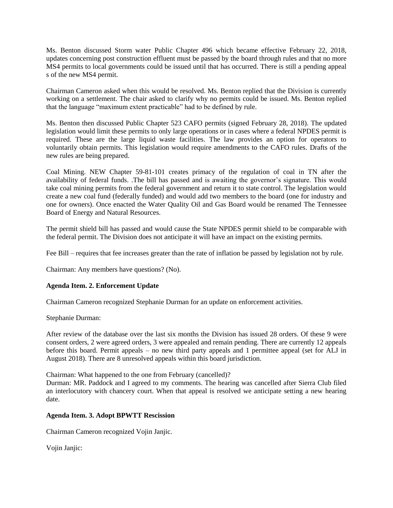Ms. Benton discussed Storm water Public Chapter 496 which became effective February 22, 2018, updates concerning post construction effluent must be passed by the board through rules and that no more MS4 permits to local governments could be issued until that has occurred. There is still a pending appeal s of the new MS4 permit.

Chairman Cameron asked when this would be resolved. Ms. Benton replied that the Division is currently working on a settlement. The chair asked to clarify why no permits could be issued. Ms. Benton replied that the language "maximum extent practicable" had to be defined by rule.

Ms. Benton then discussed Public Chapter 523 CAFO permits (signed February 28, 2018). The updated legislation would limit these permits to only large operations or in cases where a federal NPDES permit is required. These are the large liquid waste facilities. The law provides an option for operators to voluntarily obtain permits. This legislation would require amendments to the CAFO rules. Drafts of the new rules are being prepared.

Coal Mining. NEW Chapter 59-81-101 creates primacy of the regulation of coal in TN after the availability of federal funds. .The bill has passed and is awaiting the governor's signature. This would take coal mining permits from the federal government and return it to state control. The legislation would create a new coal fund (federally funded) and would add two members to the board (one for industry and one for owners). Once enacted the Water Quality Oil and Gas Board would be renamed The Tennessee Board of Energy and Natural Resources.

The permit shield bill has passed and would cause the State NPDES permit shield to be comparable with the federal permit. The Division does not anticipate it will have an impact on the existing permits.

Fee Bill – requires that fee increases greater than the rate of inflation be passed by legislation not by rule.

Chairman: Any members have questions? (No).

## **Agenda Item. 2. Enforcement Update**

Chairman Cameron recognized Stephanie Durman for an update on enforcement activities.

Stephanie Durman:

After review of the database over the last six months the Division has issued 28 orders. Of these 9 were consent orders, 2 were agreed orders, 3 were appealed and remain pending. There are currently 12 appeals before this board. Permit appeals – no new third party appeals and 1 permittee appeal (set for ALJ in August 2018). There are 8 unresolved appeals within this board jurisdiction.

Chairman: What happened to the one from February (cancelled)?

Durman: MR. Paddock and I agreed to my comments. The hearing was cancelled after Sierra Club filed an interlocutory with chancery court. When that appeal is resolved we anticipate setting a new hearing date.

## **Agenda Item. 3. Adopt BPWTT Rescission**

Chairman Cameron recognized Vojin Janjic.

Vojin Janjic: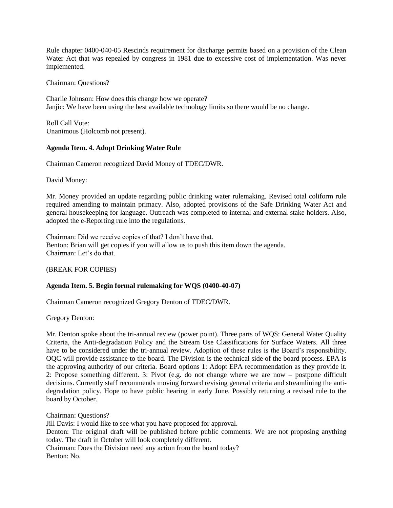Rule chapter 0400-040-05 Rescinds requirement for discharge permits based on a provision of the Clean Water Act that was repealed by congress in 1981 due to excessive cost of implementation. Was never implemented.

Chairman: Questions?

Charlie Johnson: How does this change how we operate? Janjic: We have been using the best available technology limits so there would be no change.

Roll Call Vote: Unanimous (Holcomb not present).

## **Agenda Item. 4. Adopt Drinking Water Rule**

Chairman Cameron recognized David Money of TDEC/DWR.

David Money:

Mr. Money provided an update regarding public drinking water rulemaking. Revised total coliform rule required amending to maintain primacy. Also, adopted provisions of the Safe Drinking Water Act and general housekeeping for language. Outreach was completed to internal and external stake holders. Also, adopted the e-Reporting rule into the regulations.

Chairman: Did we receive copies of that? I don't have that. Benton: Brian will get copies if you will allow us to push this item down the agenda. Chairman: Let's do that.

(BREAK FOR COPIES)

## **Agenda Item. 5. Begin formal rulemaking for WQS (0400-40-07)**

Chairman Cameron recognized Gregory Denton of TDEC/DWR.

Gregory Denton:

Mr. Denton spoke about the tri-annual review (power point). Three parts of WQS: General Water Quality Criteria, the Anti-degradation Policy and the Stream Use Classifications for Surface Waters. All three have to be considered under the tri-annual review. Adoption of these rules is the Board's responsibility. OQC will provide assistance to the board. The Division is the technical side of the board process. EPA is the approving authority of our criteria. Board options 1: Adopt EPA recommendation as they provide it. 2: Propose something different. 3: Pivot (e.g. do not change where we are now – postpone difficult decisions. Currently staff recommends moving forward revising general criteria and streamlining the antidegradation policy. Hope to have public hearing in early June. Possibly returning a revised rule to the board by October.

Chairman: Questions?

Jill Davis: I would like to see what you have proposed for approval.

Denton: The original draft will be published before public comments. We are not proposing anything today. The draft in October will look completely different.

Chairman: Does the Division need any action from the board today? Benton: No.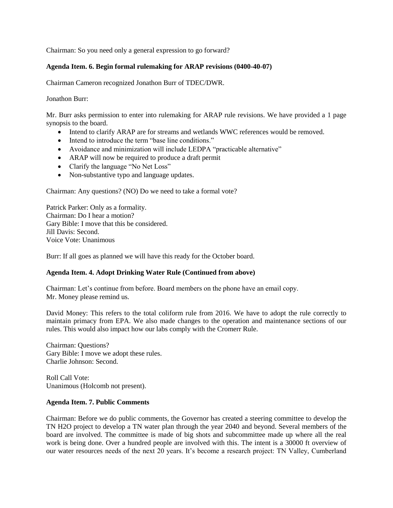Chairman: So you need only a general expression to go forward?

## **Agenda Item. 6. Begin formal rulemaking for ARAP revisions (0400-40-07)**

Chairman Cameron recognized Jonathon Burr of TDEC/DWR.

Jonathon Burr:

Mr. Burr asks permission to enter into rulemaking for ARAP rule revisions. We have provided a 1 page synopsis to the board.

- Intend to clarify ARAP are for streams and wetlands WWC references would be removed.
- Intend to introduce the term "base line conditions."
- Avoidance and minimization will include LEDPA "practicable alternative"
- ARAP will now be required to produce a draft permit
- Clarify the language "No Net Loss"
- Non-substantive typo and language updates.

Chairman: Any questions? (NO) Do we need to take a formal vote?

Patrick Parker: Only as a formality. Chairman: Do I hear a motion? Gary Bible: I move that this be considered. Jill Davis: Second. Voice Vote: Unanimous

Burr: If all goes as planned we will have this ready for the October board.

## **Agenda Item. 4. Adopt Drinking Water Rule (Continued from above)**

Chairman: Let's continue from before. Board members on the phone have an email copy. Mr. Money please remind us.

David Money: This refers to the total coliform rule from 2016. We have to adopt the rule correctly to maintain primacy from EPA. We also made changes to the operation and maintenance sections of our rules. This would also impact how our labs comply with the Cromerr Rule.

Chairman: Questions? Gary Bible: I move we adopt these rules. Charlie Johnson: Second.

Roll Call Vote: Unanimous (Holcomb not present).

## **Agenda Item. 7. Public Comments**

Chairman: Before we do public comments, the Governor has created a steering committee to develop the TN H2O project to develop a TN water plan through the year 2040 and beyond. Several members of the board are involved. The committee is made of big shots and subcommittee made up where all the real work is being done. Over a hundred people are involved with this. The intent is a 30000 ft overview of our water resources needs of the next 20 years. It's become a research project: TN Valley, Cumberland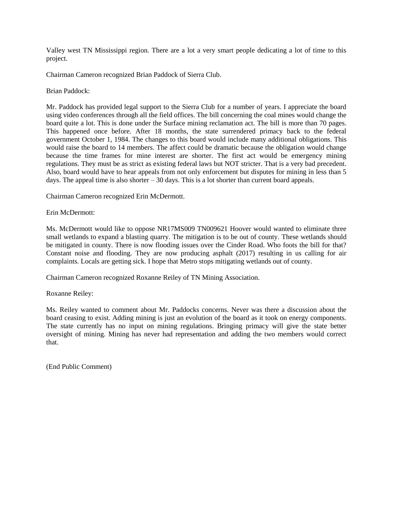Valley west TN Mississippi region. There are a lot a very smart people dedicating a lot of time to this project.

Chairman Cameron recognized Brian Paddock of Sierra Club.

Brian Paddock:

Mr. Paddock has provided legal support to the Sierra Club for a number of years. I appreciate the board using video conferences through all the field offices. The bill concerning the coal mines would change the board quite a lot. This is done under the Surface mining reclamation act. The bill is more than 70 pages. This happened once before. After 18 months, the state surrendered primacy back to the federal government October 1, 1984. The changes to this board would include many additional obligations. This would raise the board to 14 members. The affect could be dramatic because the obligation would change because the time frames for mine interest are shorter. The first act would be emergency mining regulations. They must be as strict as existing federal laws but NOT stricter. That is a very bad precedent. Also, board would have to hear appeals from not only enforcement but disputes for mining in less than 5 days. The appeal time is also shorter  $-30$  days. This is a lot shorter than current board appeals.

Chairman Cameron recognized Erin McDermott.

Erin McDermott:

Ms. McDermott would like to oppose NR17MS009 TN009621 Hoover would wanted to eliminate three small wetlands to expand a blasting quarry. The mitigation is to be out of county. These wetlands should be mitigated in county. There is now flooding issues over the Cinder Road. Who foots the bill for that? Constant noise and flooding. They are now producing asphalt (2017) resulting in us calling for air complaints. Locals are getting sick. I hope that Metro stops mitigating wetlands out of county.

Chairman Cameron recognized Roxanne Reiley of TN Mining Association.

Roxanne Reiley:

Ms. Reiley wanted to comment about Mr. Paddocks concerns. Never was there a discussion about the board ceasing to exist. Adding mining is just an evolution of the board as it took on energy components. The state currently has no input on mining regulations. Bringing primacy will give the state better oversight of mining. Mining has never had representation and adding the two members would correct that.

(End Public Comment)